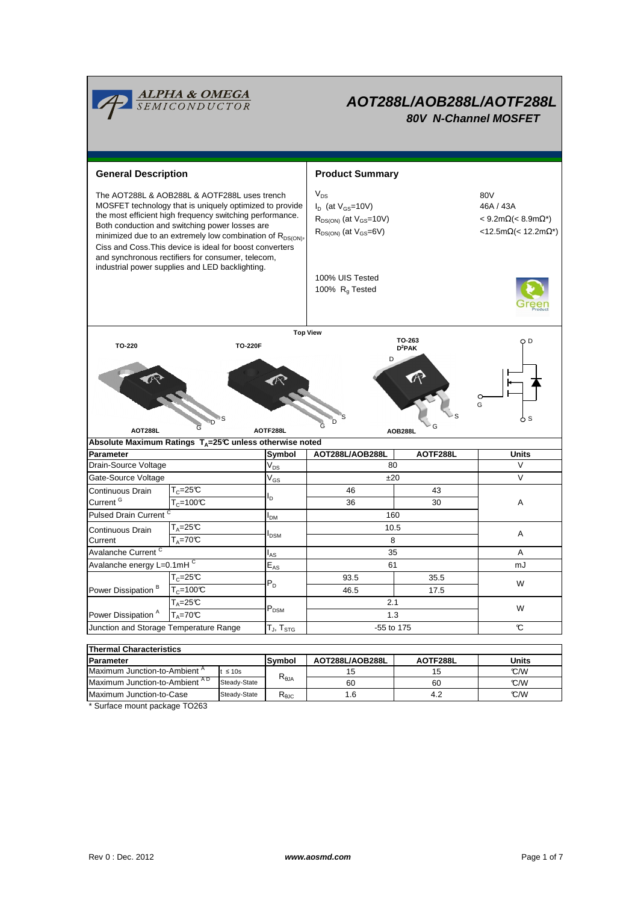

| <b>Parameter</b>                          |              | Symbol          | AOT288L/AOB288L | AOTF288L | Units |  |  |  |  |  |  |
|-------------------------------------------|--------------|-----------------|-----------------|----------|-------|--|--|--|--|--|--|
| Maximum Junction-to-Ambient <sup>"</sup>  | $t \leq 10s$ |                 | 15              |          | °C/W  |  |  |  |  |  |  |
| Maximum Junction-to-Ambient <sup>AD</sup> | Steady-State | $R_{\theta JA}$ | 60              | 60       | °C/W  |  |  |  |  |  |  |
| Maximum Junction-to-Case                  | Steady-State | ™eJC            | .6              |          | °C/W  |  |  |  |  |  |  |
| ____<br>.                                 |              |                 |                 |          |       |  |  |  |  |  |  |

\* Surface mount package TO263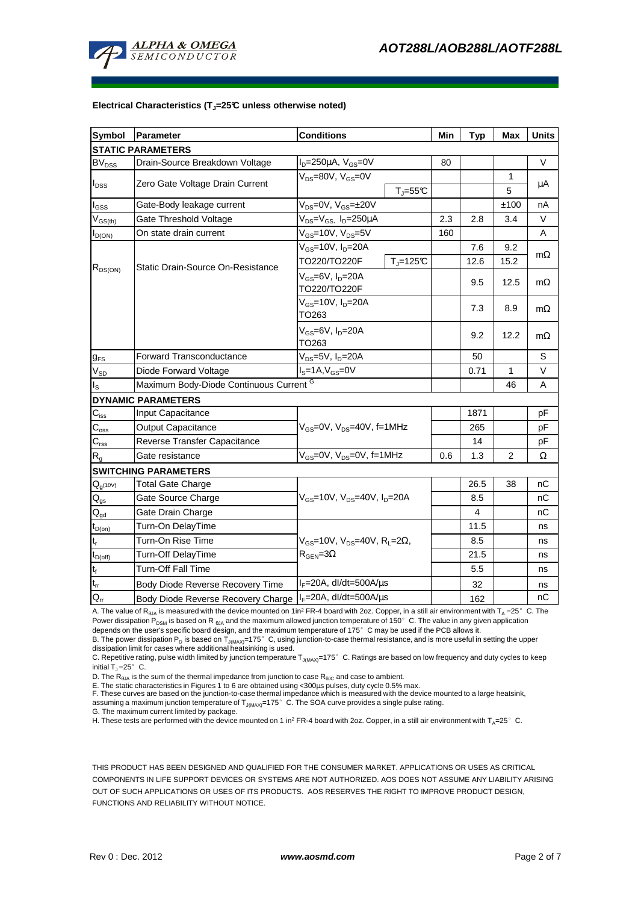

#### **Electrical Characteristics (TJ=25°C unless otherwise noted)**

| <b>Symbol</b>                                             | Parameter                          | <b>Conditions</b>                                                               |              | Min  | <b>Typ</b> | <b>Max</b>   | <b>Units</b> |  |  |  |  |  |
|-----------------------------------------------------------|------------------------------------|---------------------------------------------------------------------------------|--------------|------|------------|--------------|--------------|--|--|--|--|--|
| <b>STATIC PARAMETERS</b>                                  |                                    |                                                                                 |              |      |            |              |              |  |  |  |  |  |
| <b>BV</b> <sub>DSS</sub>                                  | Drain-Source Breakdown Voltage     | $I_D = 250 \mu A$ , $V_{GS} = 0V$                                               |              | 80   |            |              | $\vee$       |  |  |  |  |  |
|                                                           | Zero Gate Voltage Drain Current    | $V_{DS}$ =80V, $V_{GS}$ =0V<br>$T_J = 55C$                                      |              |      |            | $\mathbf{1}$ |              |  |  |  |  |  |
| $I_{DSS}$                                                 |                                    |                                                                                 |              |      |            | 5            | μA           |  |  |  |  |  |
| $I_{GSS}$                                                 | Gate-Body leakage current          | $V_{DS} = 0V$ , $V_{GS} = \pm 20V$                                              |              |      |            | ±100         | nA           |  |  |  |  |  |
| $V_{GS(th)}$                                              | Gate Threshold Voltage             | $V_{DS} = V_{GS}$ , $I_D = 250 \mu A$                                           |              | 2.3  | 2.8        | 3.4          | $\vee$       |  |  |  |  |  |
| $I_{D(ON)}$                                               | On state drain current             | $V_{GS}$ =10V, $V_{DS}$ =5V                                                     |              | 160  |            |              | A            |  |  |  |  |  |
| $R_{DS(ON)}$                                              | Static Drain-Source On-Resistance  | $V_{GS}$ =10V, $I_D$ =20A                                                       |              |      | 7.6        | 9.2          | $m\Omega$    |  |  |  |  |  |
|                                                           |                                    | TO220/TO220F                                                                    | $T_i = 125C$ | 12.6 | 15.2       |              |              |  |  |  |  |  |
|                                                           |                                    | $V_{GS}$ =6V, $I_D$ =20A<br>TO220/TO220F                                        |              |      | 9.5        | 12.5         | $m\Omega$    |  |  |  |  |  |
|                                                           |                                    | $V_{GS}$ =10V, $I_{D}$ =20A<br>TO263                                            |              |      | 7.3        | 8.9          | $m\Omega$    |  |  |  |  |  |
|                                                           |                                    | $V_{GS}$ =6V, $I_D$ =20A<br>TO263                                               |              | 9.2  | 12.2       | $m\Omega$    |              |  |  |  |  |  |
| $g_{FS}$                                                  | <b>Forward Transconductance</b>    | V <sub>DS</sub> =5V, I <sub>D</sub> =20A                                        |              |      | 50         |              | S            |  |  |  |  |  |
| $V_{SD}$                                                  | Diode Forward Voltage              | $I_S = 1A$ , $V_{GS} = 0V$                                                      |              |      | 0.71       | 1            | V            |  |  |  |  |  |
| Maximum Body-Diode Continuous Current G<br>l <sub>s</sub> |                                    |                                                                                 |              |      |            | 46           | A            |  |  |  |  |  |
|                                                           | <b>DYNAMIC PARAMETERS</b>          |                                                                                 |              |      |            |              |              |  |  |  |  |  |
| $C_{\rm iss}$                                             | Input Capacitance                  | $V_{GS}$ =0V, $V_{DS}$ =40V, f=1MHz                                             |              |      | 1871       |              | pF           |  |  |  |  |  |
| $C_{\rm oss}$                                             | <b>Output Capacitance</b>          |                                                                                 |              |      | 265        |              | pF           |  |  |  |  |  |
| $C_{\text{rss}}$                                          | Reverse Transfer Capacitance       |                                                                                 |              |      | 14         |              | pF           |  |  |  |  |  |
| $R_{q}$                                                   | Gate resistance                    | $V_{GS}$ =0V, $V_{DS}$ =0V, f=1MHz                                              |              | 0.6  | 1.3        | 2            | Ω            |  |  |  |  |  |
|                                                           | <b>SWITCHING PARAMETERS</b>        |                                                                                 |              |      |            |              |              |  |  |  |  |  |
| $Q_{g(10V)}$                                              | <b>Total Gate Charge</b>           | $V_{GS}$ =10V, $V_{DS}$ =40V, $I_{D}$ =20A                                      |              |      | 26.5       | 38           | nC           |  |  |  |  |  |
| $\mathsf{Q}_{\text{gs}}$                                  | Gate Source Charge                 |                                                                                 |              |      | 8.5        |              | nС           |  |  |  |  |  |
| $Q_{gd}$                                                  | Gate Drain Charge                  |                                                                                 |              |      | 4          |              | nС           |  |  |  |  |  |
| $t_{D(on)}$                                               | Turn-On DelayTime                  |                                                                                 |              |      | 11.5       |              | ns           |  |  |  |  |  |
| $t_r$                                                     | Turn-On Rise Time                  | $V_{GS}$ =10V, $V_{DS}$ =40V, R <sub>L</sub> =2Ω,<br>$R_{\text{GEN}} = 3\Omega$ |              |      | 8.5        |              | ns           |  |  |  |  |  |
| $t_{D(off)}$                                              | Turn-Off DelayTime                 |                                                                                 |              |      | 21.5       |              | ns           |  |  |  |  |  |
| $t_f$                                                     | Turn-Off Fall Time                 |                                                                                 |              |      | 5.5        |              | ns           |  |  |  |  |  |
| $\mathfrak{t}_{\text{rr}}$                                | Body Diode Reverse Recovery Time   | l <sub>F</sub> =20A, dl/dt=500A/μs                                              |              |      | 32         |              | ns           |  |  |  |  |  |
| $Q_{rr}$                                                  | Body Diode Reverse Recovery Charge | $I_F = 20A$ , dl/dt=500A/ $\mu$ s                                               |              |      | 162        |              | nС           |  |  |  |  |  |

A. The value of R<sub>θJA</sub> is measured with the device mounted on 1in<sup>2</sup> FR-4 board with 2oz. Copper, in a still air environment with T<sub>A</sub> =25°C. The Power dissipation  $\widetilde{P}_{DSM}$  is based on R  $_{\text{dJA}}$  and the maximum allowed junction temperature of 150°C. The value in any given application depends on the user's specific board design, and the maximum temperature of 175°C may be used if the PCB allows it.

B. The power dissipation P<sub>D</sub> is based on  $T_{J(MAX)}$ =175°C, using junction-to-case thermal resistance, and is more useful in setting the upper dissipation limit for cases where additional heatsinking is used.

C. Repetitive rating, pulse width limited by junction temperature  $T_{J(MAX)}$ =175°C. Ratings are based on low frequency and duty cycles to keep initial  $T_J = 25^\circ$  C.

D. The  $R_{\theta JA}$  is the sum of the thermal impedance from junction to case  $R_{\theta JC}$  and case to ambient.

E. The static characteristics in Figures 1 to 6 are obtained using <300µs pulses, duty cycle 0.5% max.

F. These curves are based on the junction-to-case thermal impedance which is measured with the device mounted to a large heatsink,<br>assuming a maximum junction temperature of T<sub>J(MAX)</sub>=175°C. The SOA curve provides a single

G. The maximum current limited by package.

H. These tests are performed with the device mounted on 1 in<sup>2</sup> FR-4 board with 2oz. Copper, in a still air environment with TA=25°C.

THIS PRODUCT HAS BEEN DESIGNED AND QUALIFIED FOR THE CONSUMER MARKET. APPLICATIONS OR USES AS CRITICAL COMPONENTS IN LIFE SUPPORT DEVICES OR SYSTEMS ARE NOT AUTHORIZED. AOS DOES NOT ASSUME ANY LIABILITY ARISING OUT OF SUCH APPLICATIONS OR USES OF ITS PRODUCTS. AOS RESERVES THE RIGHT TO IMPROVE PRODUCT DESIGN, FUNCTIONS AND RELIABILITY WITHOUT NOTICE.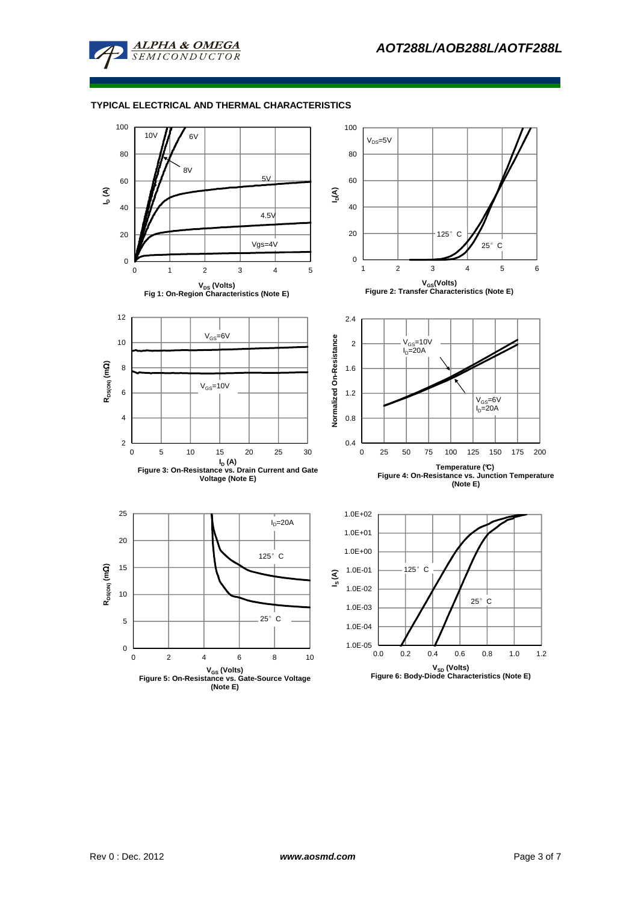

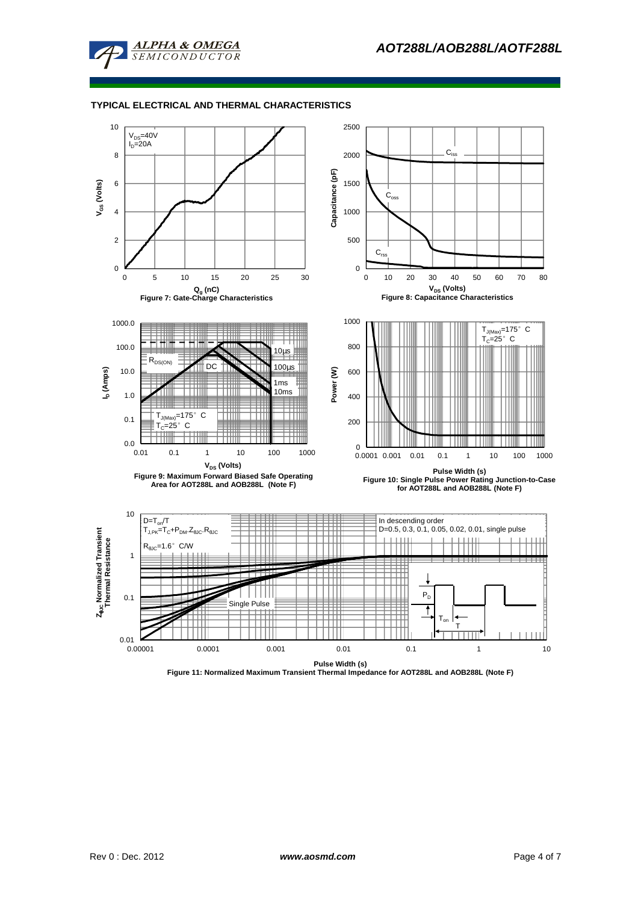



**Figure 11: Normalized Maximum Transient Thermal Impedance for AOT288L and AOB288L (Note F)**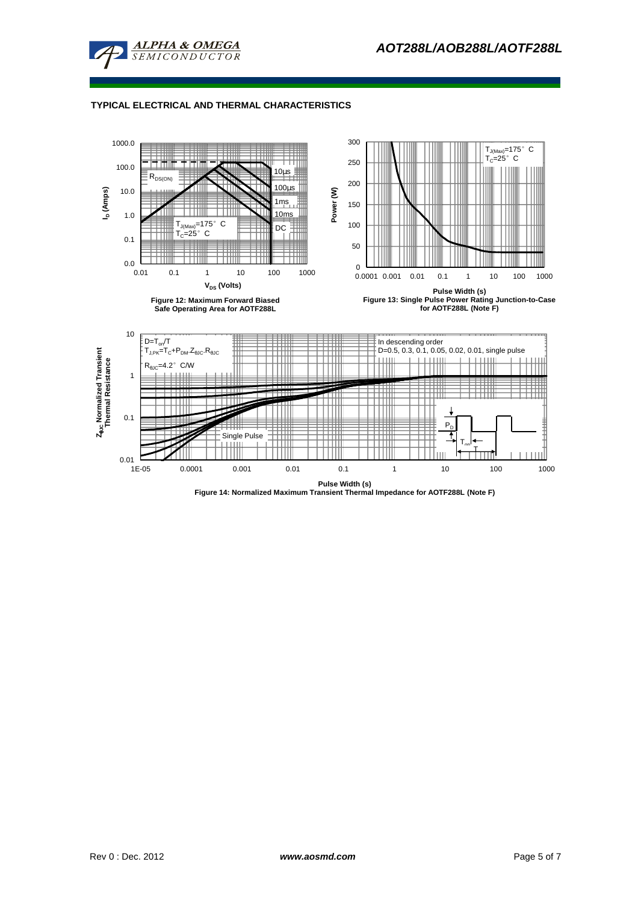



**Figure 14: Normalized Maximum Transient Thermal Impedance for AOTF288L (Note F)**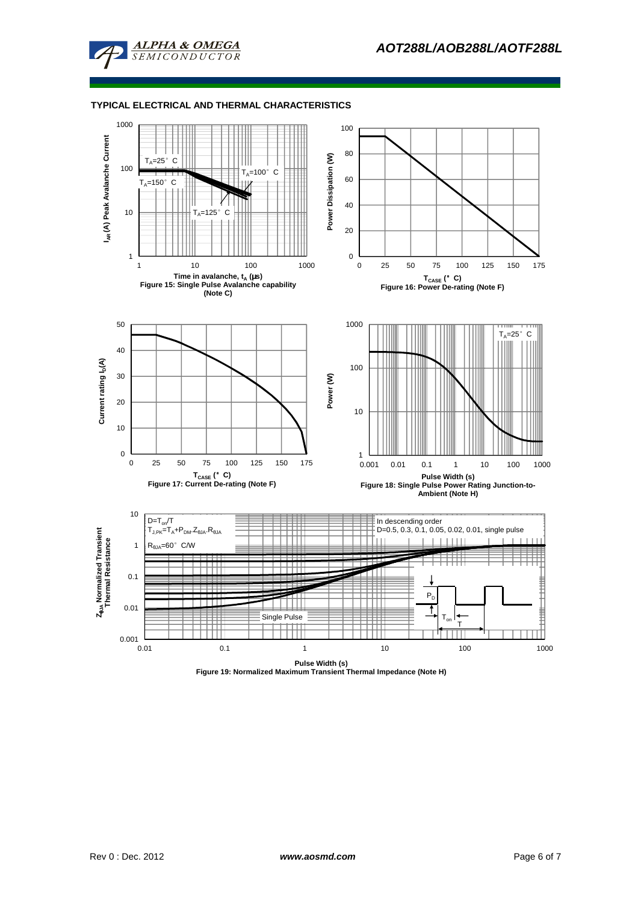



**Pulse Width (s) Figure 19: Normalized Maximum Transient Thermal Impedance (Note H)**